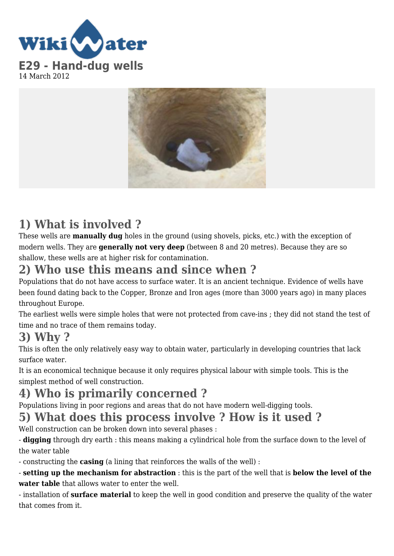



# **1) What is involved ?**

These wells are **manually dug** holes in the ground (using shovels, picks, etc.) with the exception of modern wells. They are **generally not very deep** (between 8 and 20 metres). Because they are so shallow, these wells are at higher risk for contamination.

## **2) Who use this means and since when ?**

Populations that do not have access to surface water. It is an ancient technique. Evidence of wells have been found dating back to the Copper, Bronze and Iron ages (more than 3000 years ago) in many places throughout Europe.

The earliest wells were simple holes that were not protected from cave-ins ; they did not stand the test of time and no trace of them remains today.

## **3) Why ?**

This is often the only relatively easy way to obtain water, particularly in developing countries that lack surface water.

It is an economical technique because it only requires physical labour with simple tools. This is the simplest method of well construction.

# **4) Who is primarily concerned ?**

Populations living in poor regions and areas that do not have modern well-digging tools.

# **5) What does this process involve ? How is it used ?**

Well construction can be broken down into several phases :

- **digging** through dry earth : this means making a cylindrical hole from the surface down to the level of the water table

- constructing the **casing** (a lining that reinforces the walls of the well) :

- **setting up the mechanism for abstraction** : this is the part of the well that is **below the level of the water table** that allows water to enter the well.

- installation of **surface material** to keep the well in good condition and preserve the quality of the water that comes from it.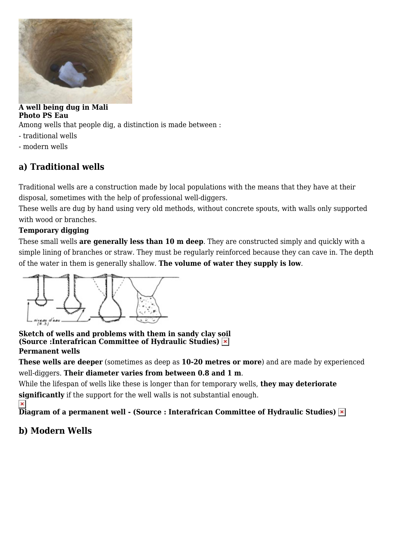

#### **A well being dug in Mali Photo PS Eau**

Among wells that people dig, a distinction is made between :

- traditional wells
- modern wells

### **a) Traditional wells**

Traditional wells are a construction made by local populations with the means that they have at their disposal, sometimes with the help of professional well-diggers.

These wells are dug by hand using very old methods, without concrete spouts, with walls only supported with wood or branches.

#### **Temporary digging**

These small wells **are generally less than 10 m deep**. They are constructed simply and quickly with a simple lining of branches or straw. They must be regularly reinforced because they can cave in. The depth of the water in them is generally shallow. **The volume of water they supply is low**.



#### **Sketch of wells and problems with them in sandy clay s[oil](https://wikiwater.fr/IMG/UserFiles/Images/art-29-1_xl.jpg) (Source :Interafrican Committee of Hydraulic Studies) Permanent wells**

**These wells are deeper** (sometimes as deep as **10-20 metres or more**) and are made by experienced well-diggers. **Their diameter varies from between 0.8 and 1 m**.

While the lifespan of wells like these is longer than for temporary wells, **they may deteriorate**

**significantly** if the support for the well walls is not substantial enough.

 $\pmb{\times}$ **Diagram of a permanent well - (Source : Interafrican Committee of Hydraulic Studies)**

### **b) Modern Wells**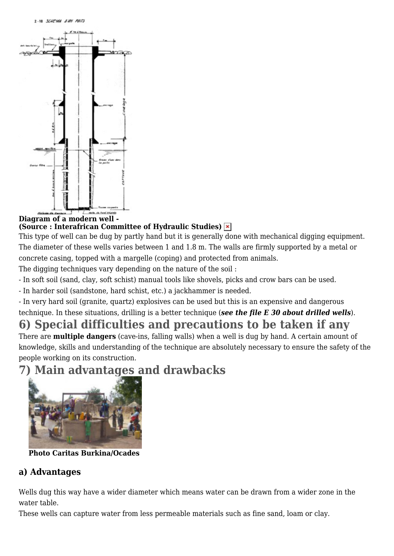

#### **Diagram of a modern well - (Source : Interafrican Committee of Hydraulic Studies)**

This type of well can be dug by partly hand but it is generally done with mechanical digging equipment. The diameter of these wells varies between 1 and 1.8 m. The walls are firmly supported by a metal or concrete casing, topped with a margelle (coping) and protected from animals.

The digging techniques vary depending on the nature of the soil :

- In soft soil (sand, clay, soft schist) manual tools like shovels, picks and crow bars can be used.
- In harder soil (sandstone, hard schist, etc.) a jackhammer is needed.

- In very hard soil (granite, quartz) explosives can be used but this is an expensive and dangerous technique. In these situations, drilling is a better technique (*see the file E 30 about drilled wells*).

# **6) Special difficulties and precautions to be taken if any**

There are **multiple dangers** (cave-ins, falling walls) when a well is dug by hand. A certain amount of knowledge, skills and understanding of the technique are absolutely necessary to ensure the safety of the people working on its construction.

# **7) Main advantages and drawbacks**



**Photo Caritas Burkina/Ocades**

#### **a) Advantages**

Wells dug this way have a wider diameter which means water can be drawn from a wider zone in the water table.

These wells can capture water from less permeable materials such as fine sand, loam or clay.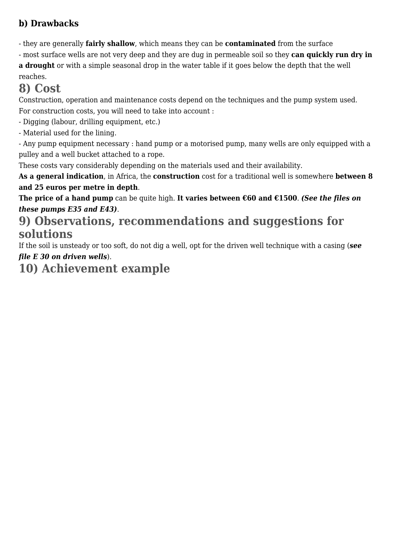### **b) Drawbacks**

- they are generally **fairly shallow**, which means they can be **contaminated** from the surface

- most surface wells are not very deep and they are dug in permeable soil so they **can quickly run dry in a drought** or with a simple seasonal drop in the water table if it goes below the depth that the well

#### reaches.

### **8) Cost**

Construction, operation and maintenance costs depend on the techniques and the pump system used. For construction costs, you will need to take into account :

- Digging (labour, drilling equipment, etc.)

- Material used for the lining.

- Any pump equipment necessary : hand pump or a motorised pump, many wells are only equipped with a pulley and a well bucket attached to a rope.

These costs vary considerably depending on the materials used and their availability.

**As a general indication**, in Africa, the **construction** cost for a traditional well is somewhere **between 8 and 25 euros per metre in depth**.

**The price of a hand pump** can be quite high. **It varies between €60 and €1500**. *(See the files on these pumps E35 and E43)*.

## **9) Observations, recommendations and suggestions for solutions**

If the soil is unsteady or too soft, do not dig a well, opt for the driven well technique with a casing (*see file E 30 on driven wells*).

# **10) Achievement example**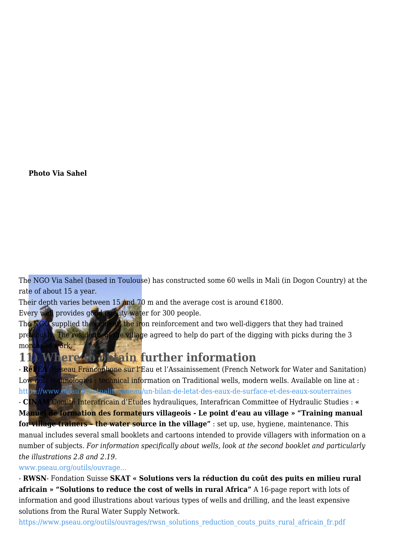#### **Photo Via Sahel**

The NGO Via Sahel (based in Toulouse) has constructed some 60 wells in Mali (in Dogon Country) at the rate of about 15 a year.

Their depth varies between 15 and 70 m and the average cost is around  $\epsilon$ 1800.

Every well provides good quality water for 300 people.

The NGO supplied the cement, the iron reinforcement and two well-diggers that they had trained previously. The residents of the village agreed to help do part of the digging with picks during the 3 months of work.

**11) Where to obtain further information**

- **RéFEA** :Réseau Francophone sur l'Eau et l'Assainissement (French Network for Water and Sanitation) Low cost technologies : technical information on Traditional wells, modern wells. Available on line at : <https://www.oieau.fr/actualites/oieau/un-bilan-de-letat-des-eaux-de-surface-et-des-eaux-souterraines> - **CINAM** Comité Interafricain d'Etudes hydrauliques, Interafrican Committee of Hydraulic Studies : **« Manuel de formation des formateurs villageois - Le point d'eau au village » "Training manual for village trainers – the water source in the village"** : set up, use, hygiene, maintenance. This manual includes several small booklets and cartoons intended to provide villagers with information on a number of subjects. *For information specifically about wells, look at the second booklet and particularly the illustrations 2.8 and 2.19.*

#### [www.pseau.org/outils/ouvrage...](http://www.pseau.org/outils/ouvrages/cinam_le_point_d_eau_au_village.pdf)

- **RWSN**- Fondation Suisse **SKAT « Solutions vers la réduction du coût des puits en milieu rural africain » "Solutions to reduce the cost of wells in rural Africa"** A 16-page report with lots of information and good illustrations about various types of wells and drilling, and the least expensive solutions from the Rural Water Supply Network.

[https://www.pseau.org/outils/ouvrages/rwsn\\_solutions\\_reduction\\_couts\\_puits\\_rural\\_africain\\_fr.pdf](https://www.pseau.org/outils/ouvrages/rwsn_solutions_reduction_couts_puits_rural_africain_fr.pdf)